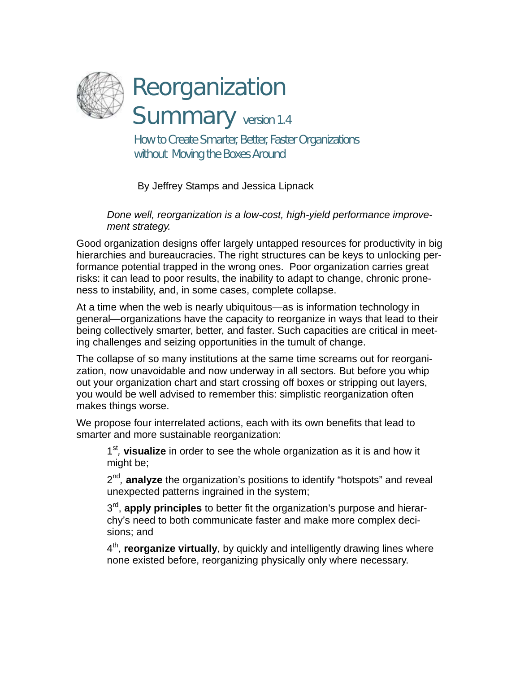

Reorganization

Summary version 1.4

How to Create Smarter, Better, Faster Organizations without Moving the Boxes Around

By Jeffrey Stamps and Jessica Lipnack

*Done well, reorganization is a low-cost, high-yield performance improvement strategy.* 

Good organization designs offer largely untapped resources for productivity in big hierarchies and bureaucracies. The right structures can be keys to unlocking performance potential trapped in the wrong ones. Poor organization carries great risks: it can lead to poor results, the inability to adapt to change, chronic proneness to instability, and, in some cases, complete collapse.

At a time when the web is nearly ubiquitous—as is information technology in general—organizations have the capacity to reorganize in ways that lead to their being collectively smarter, better, and faster. Such capacities are critical in meeting challenges and seizing opportunities in the tumult of change.

The collapse of so many institutions at the same time screams out for reorganization, now unavoidable and now underway in all sectors. But before you whip out your organization chart and start crossing off boxes or stripping out layers, you would be well advised to remember this: simplistic reorganization often makes things worse.

We propose four interrelated actions, each with its own benefits that lead to smarter and more sustainable reorganization:

1st*,* **visualize** in order to see the whole organization as it is and how it might be;

2<sup>nd</sup>, **analyze** the organization's positions to identify "hotspots" and reveal unexpected patterns ingrained in the system;

3rd, **apply principles** to better fit the organization's purpose and hierarchy's need to both communicate faster and make more complex decisions; and

4th, **reorganize virtually**, by quickly and intelligently drawing lines where none existed before, reorganizing physically only where necessary.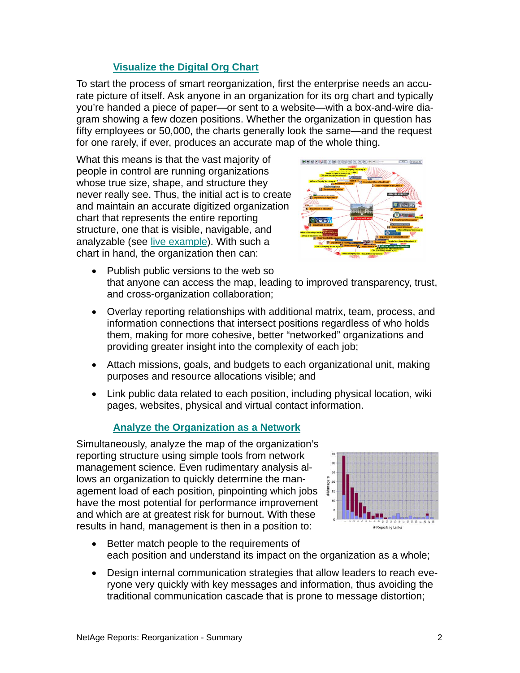## **[Visualize the Digital Org Chart](http://www.netage.com/pub/whpapers/NAReports/NARpt01-org.html)**

To start the process of smart reorganization, first the enterprise needs an accurate picture of itself. Ask anyone in an organization for its org chart and typically you're handed a piece of paper—or sent to a website—with a box-and-wire diagram showing a few dozen positions. Whether the organization in question has fifty employees or 50,000, the charts generally look the same—and the request for one rarely, if ever, produces an accurate map of the whole thing.

What this means is that the vast majority of people in control are running organizations whose true size, shape, and structure they never really see. Thus, the initial act is to create and maintain an accurate digitized organization chart that represents the entire reporting structure, one that is visible, navigable, and analyzable (see [live example](http://www.netage.com/economics/publish/USGov.html)). With such a chart in hand, the organization then can:



- Publish public versions to the web so that anyone can access the map, leading to improved transparency, trust, and cross-organization collaboration;
- Overlay reporting relationships with additional matrix, team, process, and information connections that intersect positions regardless of who holds them, making for more cohesive, better "networked" organizations and providing greater insight into the complexity of each job;
- Attach missions, goals, and budgets to each organizational unit, making purposes and resource allocations visible; and
- Link public data related to each position, including physical location, wiki pages, websites, physical and virtual contact information.

## **[Analyze the Organization as a Network](http://www.netage.com/pub/whpapers/NAReports/NARpt02-analysis.html)**

Simultaneously, analyze the map of the organization's reporting structure using simple tools from network management science. Even rudimentary analysis allows an organization to quickly determine the management load of each position, pinpointing which jobs have the most potential for performance improvement and which are at greatest risk for burnout. With these results in hand, management is then in a position to:



- Better match people to the requirements of each position and understand its impact on the organization as a whole;
- Design internal communication strategies that allow leaders to reach everyone very quickly with key messages and information, thus avoiding the traditional communication cascade that is prone to message distortion;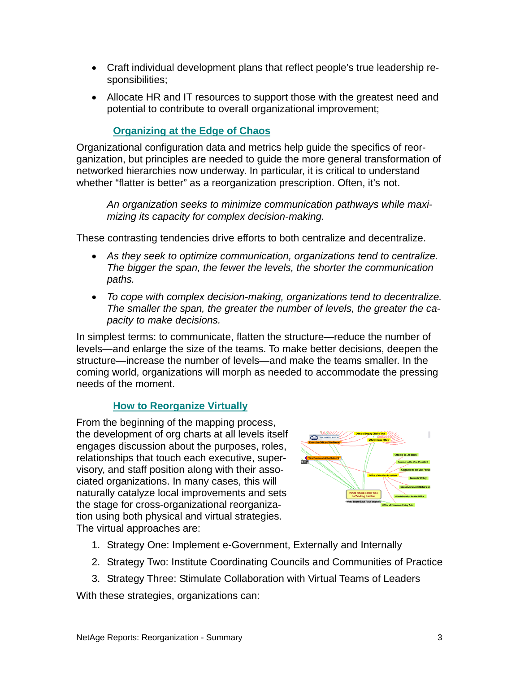- Craft individual development plans that reflect people's true leadership responsibilities;
- Allocate HR and IT resources to support those with the greatest need and potential to contribute to overall organizational improvement;

## **[Organizing at the Edge of Chaos](http://www.netage.com/pub/whpapers/NAReports/NARpt04-org-at-edge.html)**

Organizational configuration data and metrics help guide the specifics of reorganization, but principles are needed to guide the more general transformation of networked hierarchies now underway. In particular, it is critical to understand whether "flatter is better" as a reorganization prescription. Often, it's not.

*An organization seeks to minimize communication pathways while maximizing its capacity for complex decision-making.* 

These contrasting tendencies drive efforts to both centralize and decentralize.

- *As they seek to optimize communication, organizations tend to centralize. The bigger the span, the fewer the levels, the shorter the communication paths.*
- *To cope with complex decision-making, organizations tend to decentralize. The smaller the span, the greater the number of levels, the greater the capacity to make decisions.*

In simplest terms: to communicate, flatten the structure—reduce the number of levels—and enlarge the size of the teams. To make better decisions, deepen the structure—increase the number of levels—and make the teams smaller. In the coming world, organizations will morph as needed to accommodate the pressing needs of the moment.

## **[How to Reorganize Virtually](http://www.netage.com/pub/whpapers/NAReports/NARpt03-reorg.html)**

From the beginning of the mapping process, the development of org charts at all levels itself engages discussion about the purposes, roles, relationships that touch each executive, supervisory, and staff position along with their associated organizations. In many cases, this will naturally catalyze local improvements and sets the stage for cross-organizational reorganization using both physical and virtual strategies. The virtual approaches are:



- 1. Strategy One: Implement e-Government, Externally and Internally
- 2. Strategy Two: Institute Coordinating Councils and Communities of Practice
- 3. Strategy Three: Stimulate Collaboration with Virtual Teams of Leaders

With these strategies, organizations can: